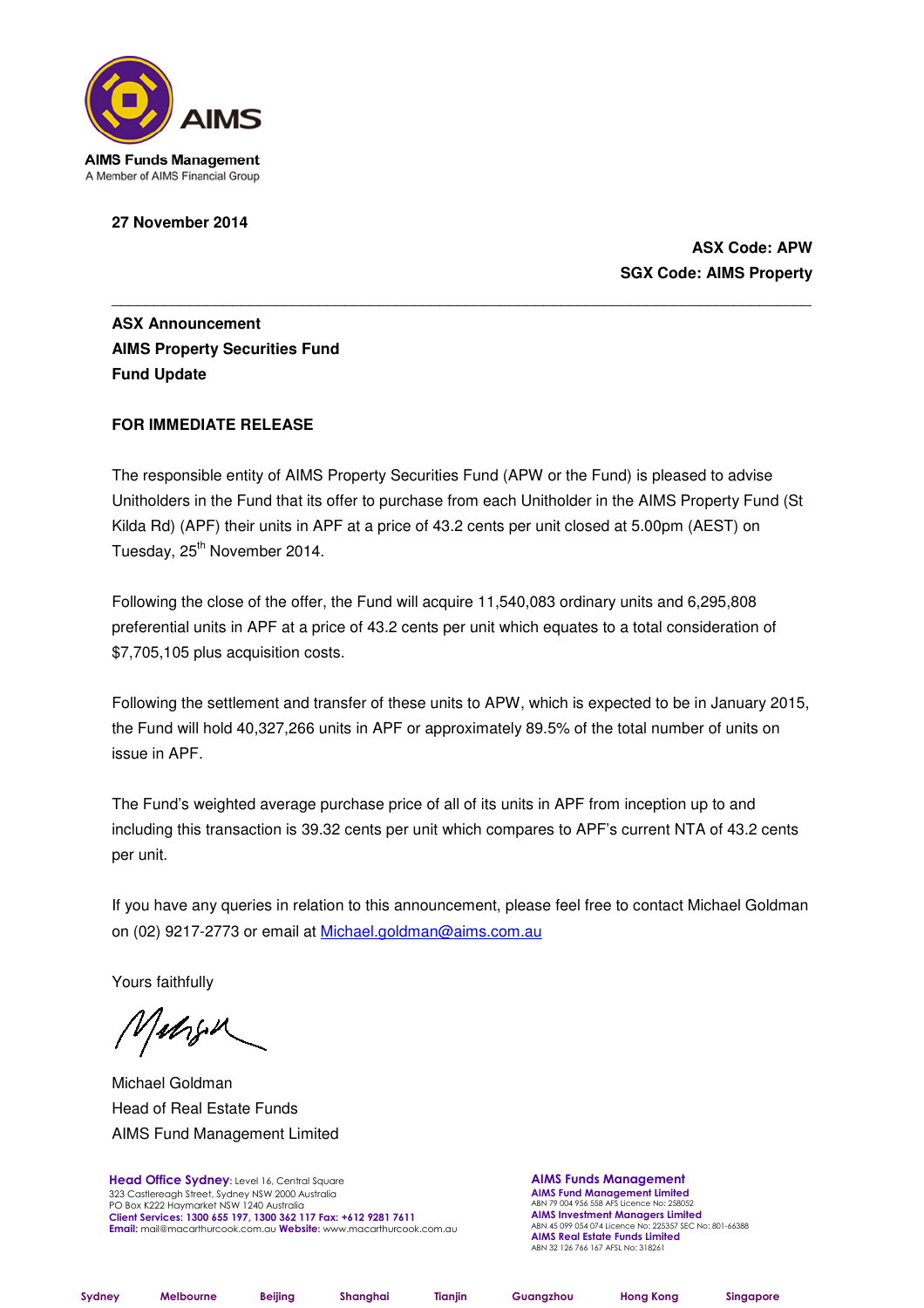

**27 November 2014** 

**ASX Code: APW SGX Code: AIMS Property** 

**ASX Announcement AIMS Property Securities Fund Fund Update** 

# **FOR IMMEDIATE RELEASE**

The responsible entity of AIMS Property Securities Fund (APW or the Fund) is pleased to advise Unitholders in the Fund that its offer to purchase from each Unitholder in the AIMS Property Fund (St Kilda Rd) (APF) their units in APF at a price of 43.2 cents per unit closed at 5.00pm (AEST) on Tuesday, 25<sup>th</sup> November 2014.

\_\_\_\_\_\_\_\_\_\_\_\_\_\_\_\_\_\_\_\_\_\_\_\_\_\_\_\_\_\_\_\_\_\_\_\_\_\_\_\_\_\_\_\_\_\_\_\_\_\_\_\_\_\_\_\_\_\_\_\_\_\_\_\_\_\_\_\_\_\_\_\_\_\_\_\_\_\_\_\_\_

Following the close of the offer, the Fund will acquire 11,540,083 ordinary units and 6,295,808 preferential units in APF at a price of 43.2 cents per unit which equates to a total consideration of \$7,705,105 plus acquisition costs.

Following the settlement and transfer of these units to APW, which is expected to be in January 2015, the Fund will hold 40,327,266 units in APF or approximately 89.5% of the total number of units on issue in APF.

The Fund's weighted average purchase price of all of its units in APF from inception up to and including this transaction is 39.32 cents per unit which compares to APF's current NTA of 43.2 cents per unit.

If you have any queries in relation to this announcement, please feel free to contact Michael Goldman on (02) 9217-2773 or email at Michael.goldman@aims.com.au

Yours faithfully

Valogen

Michael Goldman Head of Real Estate Funds AIMS Fund Management Limited

Head Office Sydney: Level 16, Central Square 323 Castlereagh Street, Sydney NSW 2000 Australia PO Box K222 Haymarket NSW 1240 Australia Client Services: 1300 655 197, 1300 362 117 Fax: +612 9281 7611 Email: mail@macarthurcook.com.au Website: www.macarthurcook.com.au AIMS Funds Management **AIMS Fund Management Limited**<br>ABN 79 004 956 558 AFS Licence No: 258052 **AIMS Investment Managers Limited**<br>ABN 45 099 054 074 Licence No: 225357 SEC No: 801-66388 AIMS Real Estate Funds Limited ABN 32 126 766 167 AFSL No: 318261

Sydney Melbourne Beijing Shanghai Tianjin Guangzhou Hong Kong Singapore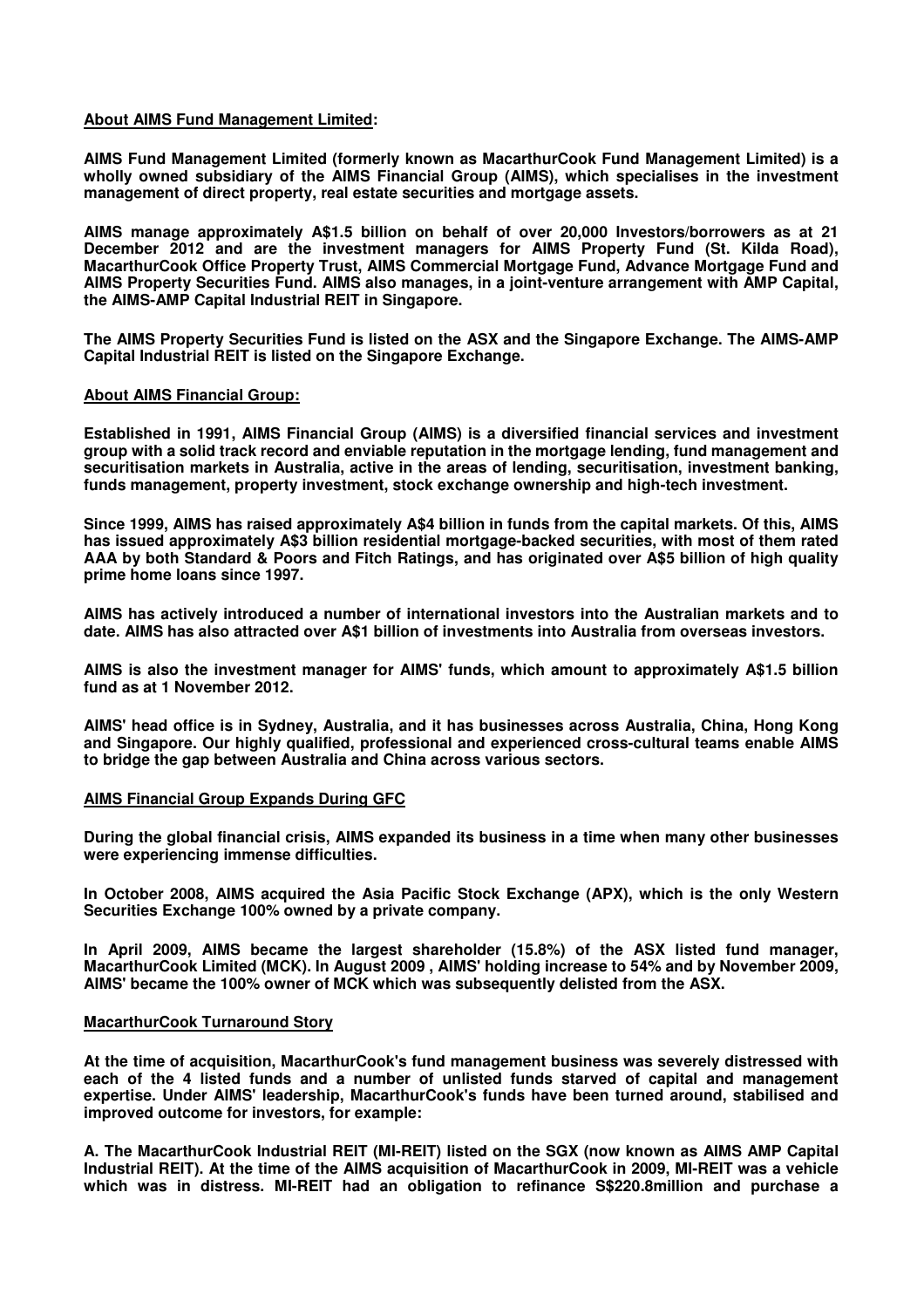## **About AIMS Fund Management Limited:**

**AIMS Fund Management Limited (formerly known as MacarthurCook Fund Management Limited) is a wholly owned subsidiary of the AIMS Financial Group (AIMS), which specialises in the investment management of direct property, real estate securities and mortgage assets.** 

**AIMS manage approximately A\$1.5 billion on behalf of over 20,000 Investors/borrowers as at 21 December 2012 and are the investment managers for AIMS Property Fund (St. Kilda Road), MacarthurCook Office Property Trust, AIMS Commercial Mortgage Fund, Advance Mortgage Fund and AIMS Property Securities Fund. AIMS also manages, in a joint-venture arrangement with AMP Capital, the AIMS-AMP Capital Industrial REIT in Singapore.** 

**The AIMS Property Securities Fund is listed on the ASX and the Singapore Exchange. The AIMS-AMP Capital Industrial REIT is listed on the Singapore Exchange.** 

### **About AIMS Financial Group:**

**Established in 1991, AIMS Financial Group (AIMS) is a diversified financial services and investment group with a solid track record and enviable reputation in the mortgage lending, fund management and securitisation markets in Australia, active in the areas of lending, securitisation, investment banking, funds management, property investment, stock exchange ownership and high-tech investment.** 

**Since 1999, AIMS has raised approximately A\$4 billion in funds from the capital markets. Of this, AIMS has issued approximately A\$3 billion residential mortgage-backed securities, with most of them rated AAA by both Standard & Poors and Fitch Ratings, and has originated over A\$5 billion of high quality prime home loans since 1997.** 

**AIMS has actively introduced a number of international investors into the Australian markets and to date. AIMS has also attracted over A\$1 billion of investments into Australia from overseas investors.** 

**AIMS is also the investment manager for AIMS' funds, which amount to approximately A\$1.5 billion fund as at 1 November 2012.** 

**AIMS' head office is in Sydney, Australia, and it has businesses across Australia, China, Hong Kong and Singapore. Our highly qualified, professional and experienced cross-cultural teams enable AIMS to bridge the gap between Australia and China across various sectors.** 

### **AIMS Financial Group Expands During GFC**

**During the global financial crisis, AIMS expanded its business in a time when many other businesses were experiencing immense difficulties.** 

**In October 2008, AIMS acquired the Asia Pacific Stock Exchange (APX), which is the only Western Securities Exchange 100% owned by a private company.** 

**In April 2009, AIMS became the largest shareholder (15.8%) of the ASX listed fund manager, MacarthurCook Limited (MCK). In August 2009 , AIMS' holding increase to 54% and by November 2009, AIMS' became the 100% owner of MCK which was subsequently delisted from the ASX.** 

### **MacarthurCook Turnaround Story**

**At the time of acquisition, MacarthurCook's fund management business was severely distressed with each of the 4 listed funds and a number of unlisted funds starved of capital and management expertise. Under AIMS' leadership, MacarthurCook's funds have been turned around, stabilised and improved outcome for investors, for example:** 

**A. The MacarthurCook Industrial REIT (MI-REIT) listed on the SGX (now known as AIMS AMP Capital Industrial REIT). At the time of the AIMS acquisition of MacarthurCook in 2009, MI-REIT was a vehicle which was in distress. MI-REIT had an obligation to refinance S\$220.8million and purchase a**